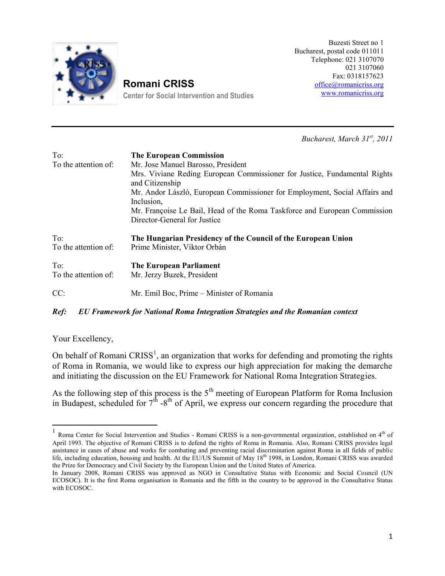Buzesti Stte Bucharepsot $x$  and  $x$ e $10$ Te behone 21 730170 021 3107  $Fax: 03181$ [office@roman](mailto:office@romanicriss.org)i www.romanicl

## Romani CRISS

Center for Social Intervention

Bucharest, 3M<sup>t</sup>, 2n0c1h1

 $\mathcal{L}$ 

To: The European Commission To the attention of pse MB annost Boresident Mrs. Viviane Reding European Commissioner for Justi and Citizenship Mr. Andor László, European rGpphonyninsesnib, n Sono dibal EAffairs Inclusion, Mr. Françoise Le Bail, Head of the Roma Taskforce an DirecCorneral for Justice

To: The Hungarian Presidency of the Council of the Europe To the attentioPmionfe Minister, Orbán

To: TheEuropean Parliament To the attention of przy, BRuzeeskident

CC: Mr.Emil Boc, PM iminister of Romania

Ref: EU Framework for National Roma Integration Strategies and the

Your Excellency

On behalf  $\varpi$  find  $\Re$ ,  $\Im$   $\Im$  and  $\Im$   $\Im$   $\Im$  organitz heatio who rks for defending and promot of Roma in Romania, we would like to express our high appred and initiating the discussion on the EU Frameworkitesr. National

As the following step of the seption open  $\mathbf s$  is the 5 the 5 thm for Roma Inclusion Inclusion Inclusion Inclusion Inclusion Inclusion Inclusion Inclusion Inclusion Inclusion Inclusion Inclusion Inclusion Inclusion Incl in Budapest, sch<sup>t b</sup>e of the fould for the process our concern or be go the budden for the

 $^1$  Roma Center for Social Inter-Weonnhiaomi aCnPdISSSI-guidsiveæs non nental organizatio $\,$ h $\,$ ofestablishe $\,$ April 1993. The objective of Romalme CinghSis of Romdafem Romania. Also, Romani CRI assistance in cases of abuse and works for combating and preventing racial discri life, including education, khotutshien로比/hlookhealth. At think At thing Sum mit of Manni CRISS was a the Prize for Democracy and Civil Society by the European Union and the United Sta In January 2008, Romani CRISS was approved as NGO in Consultative (USNatus wi ECOSOC). It is the first Roma organisation helouRomy and abenaupphrevisid thin in the Consultative Status in the Status Status Status Status Status Status Status Status Status Status Status Status Status Status Status Stat with ECOSOC.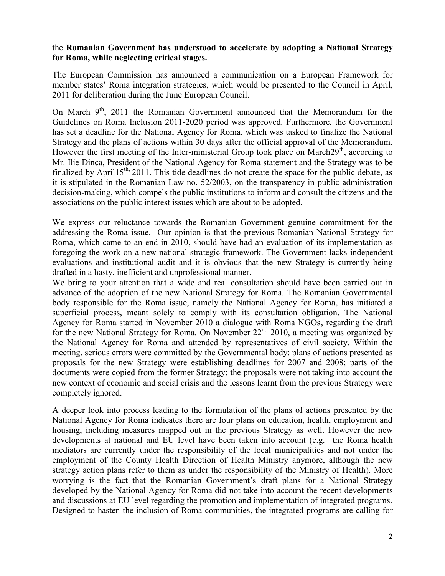the Romanian Government has a conderstay bed op integaNationar latSetgy for  $R$  on whileneglencot ritics had ges.

TheEuropean Commhaiss sai**on** ounc**oe**ndmanic**at**ioan EuroFpaena Bowork for member states  $\,$  Roma integovation and betrateged benefithe Coinn Acplril  $\,$ 201ftor deliberation during the June Europe[an Council](www.romanicriss.org)

On Mar $\theta$ h 2011 the emanian ve Ginment annouth  $\theta$ de eimtchraatndum for the Guidelion Resom lanclus 2011-2020 eriow das approved. Furthermore, the G haset a deadlinNeafficonAlpency for, Rovohmiocalas taskaefdinalizNeattihoenal Strategy and otheacotlicomitism 30 days after the official approval of t However the first meetmining isotferthael Kontoeup took  $2\frac{dy}{dx}$  a accord Mhagrotho Mr. lile Dinca, President of the National Agency for a Roboment statent finaldbe April 201This tide deadlines do not create the space for it is stipul**atee Rom** atnian Law no. 52/2008.y oin phueblic and phaineistra decis-moanking, indom pels the public institutions to inform and consulterizations and consult the citizens and the consultations and the consultations and the consultations and the consulter and the consultations and the association psublhic hime terest issues whad be pateed about to be

We express our reluchaen oReomtoanxo iana dina Gologiyeem on ine comminationtehnet addressinRopothhae is Souuer. opinion thissorteh vaitoRuo $\sin a$ nian N $\sin a$ tional och v Romawhichame to an end  $\mathsf{inl}$  d $2\mathsf{0.400}$  eshond an evaluation oefsits imp foregoing the work on a tegic reational start at he Gonderpendentack evaluations  $s$  and tional audit and it insevob  $\mathcal S$  it obvious the rrently drafted in a hasty, inefficient and unprofessional manner. We bring to your attweirdteind the a should have been carried out in the wide of the and the same of the out in advanceh opfadoption of the new Nation TahleS **Rat**reagnyiafnor GRoorenran.men bodyesponsible for the Roma issue, namely the a Shationeed Agen superficial proc**ess** to to commod ly thw its consultation The b**National** Agency for Roma started in November 2010, raegobined broggueth weitchraRft for the National Strategy  $\hat{\mathcal{D}}$  for  $\hat{\mathcal{D}}$  meeting was organized by  $\hat{\mathcal{D}}$ the National Arg**e caw and about ended ephasis and a to ive is society**. Within t  $m$  eeting, serious errors whe  $\bigoplus \infty$  repromining the default and sof actions present proposals for the noweewre.Soetsataeb**glie**s and hignes for 2007baarhsd o2f00h8e, documenwtes re copied from the ftohrem pero.\$ brsaatlesgywere not taking into new cotntoefxeconomic and sotheal ecsrsi**sinss ane d**int from the previous completely ignored.

A deeper ilrootaok process leadinnuglation ot the form form and presented by the National Agencyindicato at are four plans on education, health housing, including mapped unoentshe previous StraHe gy yeas twheeline w developments aatn**ola Eilolnbel**vel have been takenthi**eRombaecac**lot**h**nt (e. mediators are unnudrerentthlog respondsolbid milly not under the sunand edir nuthele employmenhteCoofunty Health Opfirheletailothin Maininismothough the new strateagy ion plans refer untobe thtehme assponsibility of the MoMienistry o worrying is the fact that the Rodmrantpoileam sG6ovneranmNeanttiosnal Stra developed by the National A**gency akterinRoma accoloidd**new of hoep meecnet nst and discussions at EU level regarding the promotion and imple Designed to hasten the inclusion the  $R$  independence at the program of  $R$